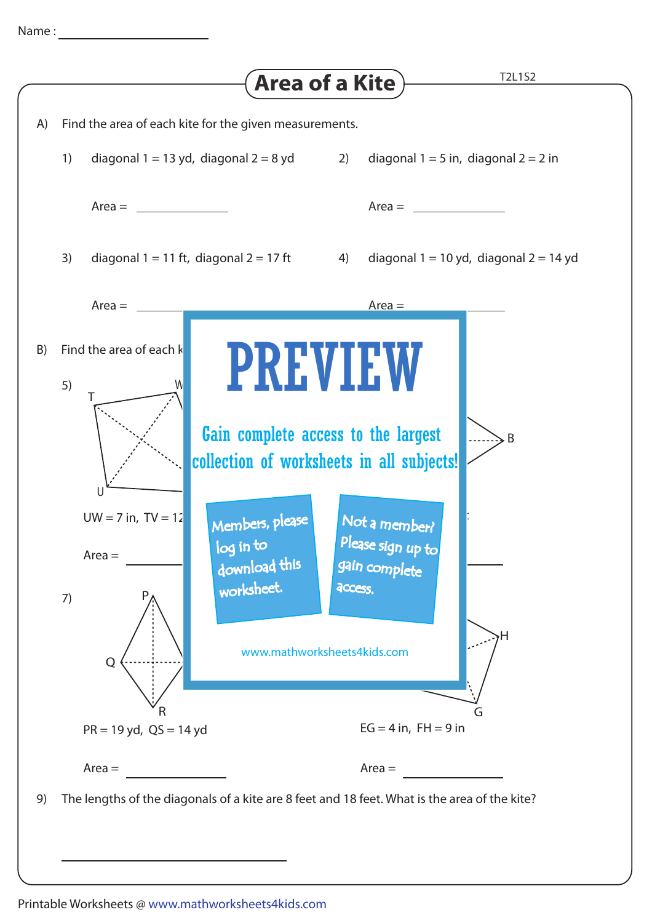